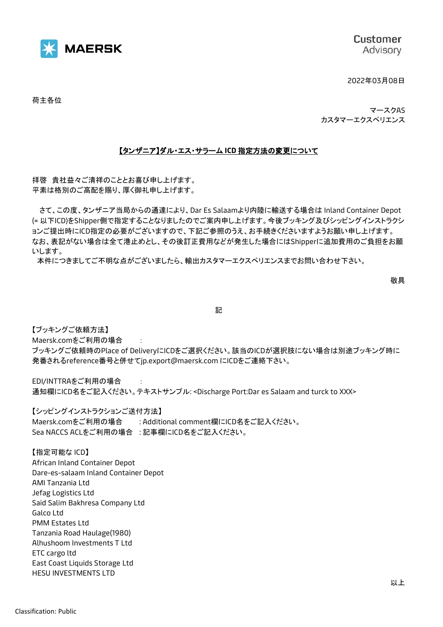

Customer Advisory

2022年03月08日

荷主各位

マースクAS カスタマーエクスペリエンス

## 【タンザニア】ダル・エス・サラーム **ICD** 指定方法の変更について

拝啓 貴社益々ご清祥のこととお喜び申し上げます。 平素は格別のご高配を賜り、厚く御礼申し上げます。

さて、この度、タンザニア当局からの通達により、Dar Es Salaamより内陸に輸送する場合は Inland Container Depot (= 以下ICD)をShipper側で指定することなりましたのでご案内申し上げます。今後ブッキング及びシッピングインストラクシ ョンご提出時にICD指定の必要がございますので、下記ご参照のうえ、お手続きくださいますようお願い申し上げます。 なお、表記がない場合は全て港止めとし、その後訂正費用などが発生した場合にはShipperに追加費用のご負担をお願 いします。

本件につきましてご不明な点がございましたら、輸出カスタマーエクスペリエンスまでお問い合わせ下さい。

敬具

記

【ブッキングご依頼方法】 Maersk.comをご利用の場合 :

ブッキングご依頼時のPlace of DeliveryにICDをご選択ください。該当のICDが選択肢にない場合は別途ブッキング時に 発番されるreference番号と併せてjp.export@maersk.com にICDをご連絡下さい。

EDI/INTTRAをご利用の場合 : 通知欄にICD名をご記入ください。テキストサンプル: <Discharge Port:Dar es Salaam and turck to XXX>

【シッピングインストラクションご送付方法】

Maersk.comをご利用の場合 : Additional comment欄にICD名をご記入ください。 Sea NACCS ACLをご利用の場合 : 記事欄にICD名をご記入ください。

【指定可能な ICD】 African Inland Container Depot Dare-es-salaam Inland Container Depot AMI Tanzania Ltd Jefag Logistics Ltd Said Salim Bakhresa Company Ltd Galco Ltd PMM Estates Ltd Tanzania Road Haulage(1980) Alhushoom Investments T Ltd ETC cargo ltd East Coast Liquids Storage Ltd HESU INVESTMENTS LTD